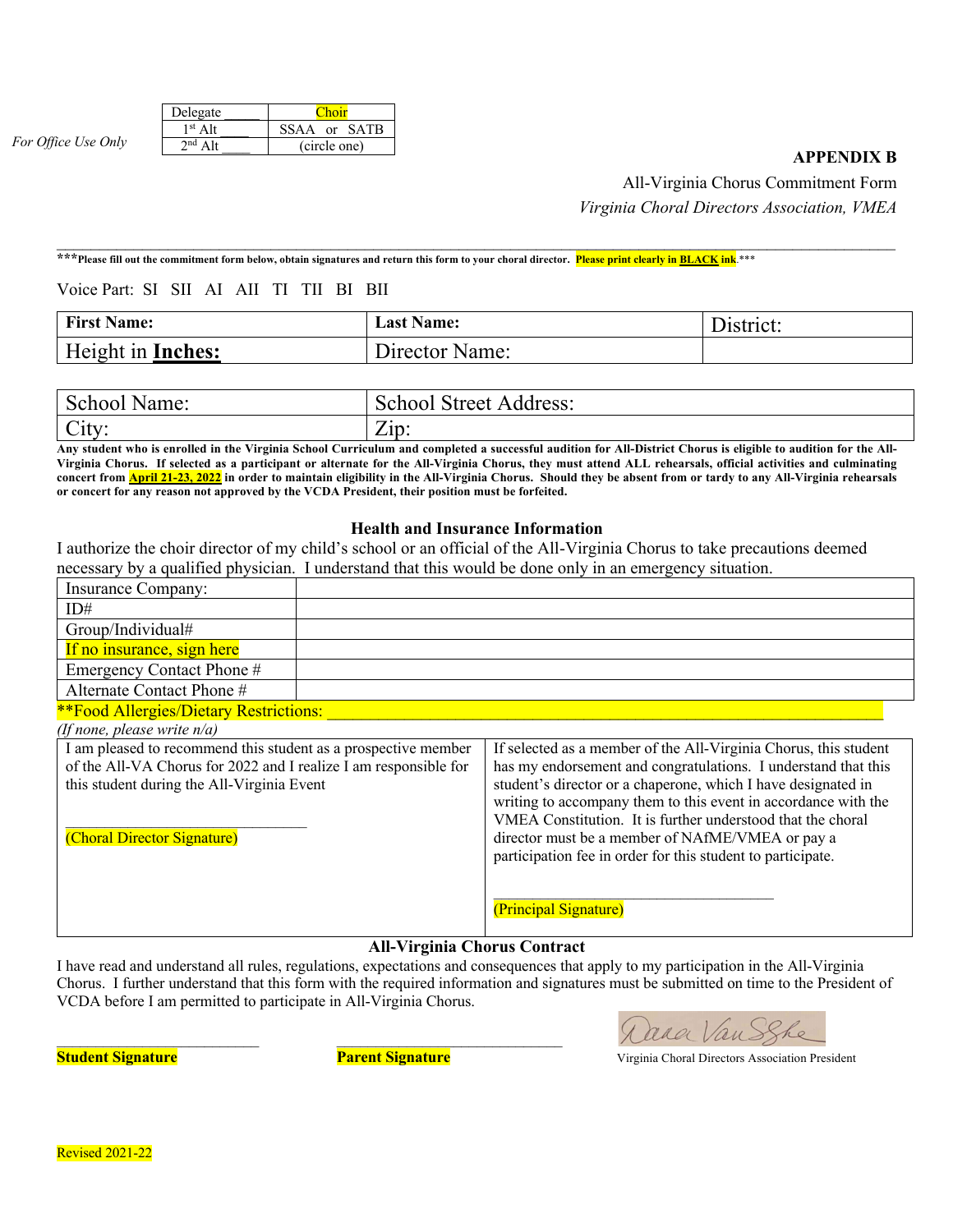|      | Delegate  | 'hoir                                   |
|------|-----------|-----------------------------------------|
|      | $1st$ Alt | <b>SATB</b><br><b>SSAA</b><br><b>or</b> |
| )nly | $2nd$ Alt | (circle one)                            |
|      |           |                                         |

For Office Use C

All-Virginia Chorus Commitment Form  *Virginia Choral Directors Association, VMEA*

**\*\*\*Please fill out the commitment form below, obtain signatures and return this form to your choral director. Please print clearly in BLACK ink**.\*\*\*

### Voice Part: SI SII AI AII TI TII BI BII

| <b>First Name:</b> | <b>Last Name:</b> | District: |
|--------------------|-------------------|-----------|
| Height in Inches:  | Director Name:    |           |

| School | Street Address:                           |
|--------|-------------------------------------------|
| Name:  | School                                    |
| City:  | $\overline{\phantom{0}}$<br>$\angle 1D$ : |

**Any student who is enrolled in the Virginia School Curriculum and completed a successful audition for All-District Chorus is eligible to audition for the All-Virginia Chorus. If selected as a participant or alternate for the All-Virginia Chorus, they must attend ALL rehearsals, official activities and culminating concert from April 21-23, 2022 in order to maintain eligibility in the All-Virginia Chorus. Should they be absent from or tardy to any All-Virginia rehearsals or concert for any reason not approved by the VCDA President, their position must be forfeited.**

### **Health and Insurance Information**

I authorize the choir director of my child's school or an official of the All-Virginia Chorus to take precautions deemed necessary by a qualified physician. I understand that this would be done only in an emergency situation.

| Insurance Company:                                                                                                                                                                                              |                                                                                                                                                                                                                                                                                                                                                                                          |  |  |  |  |  |  |
|-----------------------------------------------------------------------------------------------------------------------------------------------------------------------------------------------------------------|------------------------------------------------------------------------------------------------------------------------------------------------------------------------------------------------------------------------------------------------------------------------------------------------------------------------------------------------------------------------------------------|--|--|--|--|--|--|
| ID#                                                                                                                                                                                                             |                                                                                                                                                                                                                                                                                                                                                                                          |  |  |  |  |  |  |
| Group/Individual#                                                                                                                                                                                               |                                                                                                                                                                                                                                                                                                                                                                                          |  |  |  |  |  |  |
| If no insurance, sign here                                                                                                                                                                                      |                                                                                                                                                                                                                                                                                                                                                                                          |  |  |  |  |  |  |
| Emergency Contact Phone #                                                                                                                                                                                       |                                                                                                                                                                                                                                                                                                                                                                                          |  |  |  |  |  |  |
| Alternate Contact Phone #                                                                                                                                                                                       |                                                                                                                                                                                                                                                                                                                                                                                          |  |  |  |  |  |  |
| <b>**Food Allergies/Dietary Restrictions:</b>                                                                                                                                                                   |                                                                                                                                                                                                                                                                                                                                                                                          |  |  |  |  |  |  |
| (If none, please write $n/a$ )                                                                                                                                                                                  |                                                                                                                                                                                                                                                                                                                                                                                          |  |  |  |  |  |  |
| I am pleased to recommend this student as a prospective member<br>of the All-VA Chorus for 2022 and I realize I am responsible for<br>this student during the All-Virginia Event<br>(Choral Director Signature) | If selected as a member of the All-Virginia Chorus, this student<br>has my endorsement and congratulations. I understand that this<br>student's director or a chaperone, which I have designated in<br>writing to accompany them to this event in accordance with the<br>VMEA Constitution. It is further understood that the choral<br>director must be a member of NAfME/VMEA or pay a |  |  |  |  |  |  |
|                                                                                                                                                                                                                 | participation fee in order for this student to participate.<br>(Principal Signature)                                                                                                                                                                                                                                                                                                     |  |  |  |  |  |  |

## **All-Virginia Chorus Contract**

I have read and understand all rules, regulations, expectations and consequences that apply to my participation in the All-Virginia Chorus. I further understand that this form with the required information and signatures must be submitted on time to the President of VCDA before I am permitted to participate in All-Virginia Chorus.

 $\mathcal{L}_\text{max} = \mathcal{L}_\text{max} = \mathcal{L}_\text{max} = \mathcal{L}_\text{max} = \mathcal{L}_\text{max} = \mathcal{L}_\text{max} = \mathcal{L}_\text{max} = \mathcal{L}_\text{max} = \mathcal{L}_\text{max} = \mathcal{L}_\text{max} = \mathcal{L}_\text{max} = \mathcal{L}_\text{max} = \mathcal{L}_\text{max} = \mathcal{L}_\text{max} = \mathcal{L}_\text{max} = \mathcal{L}_\text{max} = \mathcal{L}_\text{max} = \mathcal{L}_\text{max} = \mathcal{$ 

ara Van

**Student Signature Parent Signature Parent Signature** Virginia Choral Directors Association President

Revised 2021-22